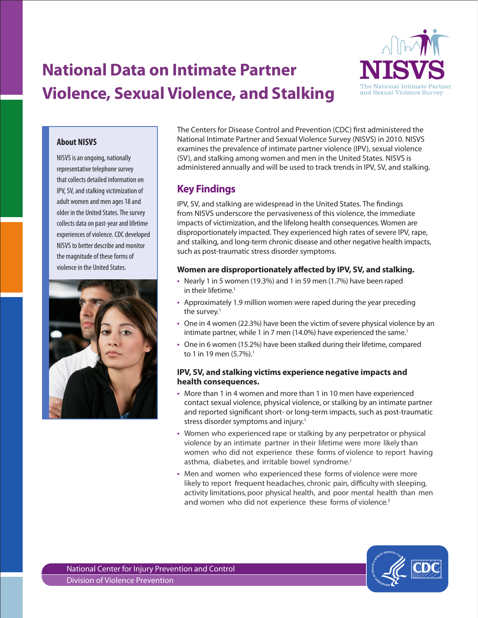# **National Data on Intimate Partner Violence, Sexual Violence, and Stalking**



#### **About NISVS**

NISVS is an ongoing, nationally representative telephone survey that collects detailed information on IPV, SV, and stalking victimization of adult women and men ages 18 and older in the United States. The survey collects data on past-year and lifetime experiences of violence. CDC developed NISVS to better describe and monitor the magnitude of these forms of violence in the United States.



The Centers for Disease Control and Prevention (CDC) first administered the National Intimate Partner and Sexual Violence Survey (NISVS) in 2010. NISVS examines the prevalence of intimate partner violence (IPV), sexual violence (SV), and stalking among women and men in the United States. NISVS is administered annually and will be used to track trends in IPV, SV, and stalking.

### **Key Findings**

IPV, SV, and stalking are widespread in the United States. The findings from NISVS underscore the pervasiveness of this violence, the immediate impacts of victimization, and the lifelong health consequences. Women are disproportionately impacted. They experienced high rates of severe IPV, rape, and stalking, and long-term chronic disease and other negative health impacts, such as post-traumatic stress disorder symptoms.

#### **Women are disproportionately affected by IPV, SV, and stalking.**

- Nearly 1 in 5 women (19.3%) and 1 in 59 men (1.7%) have been raped in their lifetime.<sup>1</sup>
- Approximately 1.9 million women were raped during the year preceding the survey. $1$
- • One in 4 women (22.3%) have been the victim of severe physical violence by an intimate partner, while 1 in 7 men (14.0%) have experienced the same.<sup>1</sup>
- One in 6 women (15.2%) have been stalked during their lifetime, compared to 1 in 19 men  $(5.7\%)$ .<sup>1</sup>

#### **IPV, SV, and stalking victims experience negative impacts and health consequences.**

- More than 1 in 4 women and more than 1 in 10 men have experienced contact sexual violence, physical violence, or stalking by an intimate partner and reported significant short- or long-term impacts, such as post-traumatic stress disorder symptoms and injury.<sup>1</sup>
- Women who experienced rape or stalking by any perpetrator or physical violence by an intimate partner in their lifetime were more likely than women who did not experience these forms of violence to report having asthma, diabetes, and irritable bowel syndrome.<sup>2</sup>
- Men and women who experienced these forms of violence were more likely to report frequent headaches, chronic pain, difficulty with sleeping, activity limitations, poor physical health, and poor mental health than men and women who did not experience these forms of violence.<sup>2</sup>